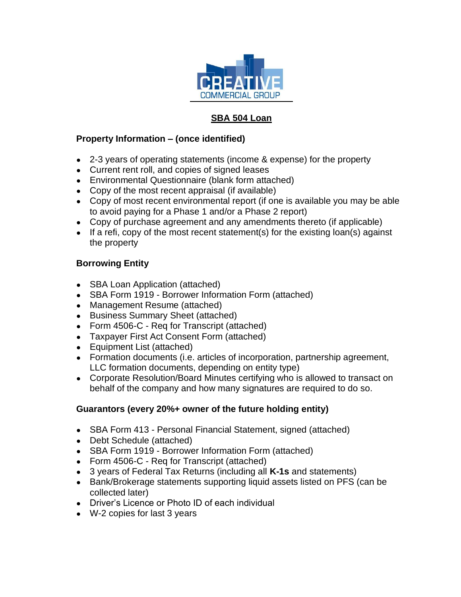

## **SBA 504 Loan**

## **Property Information – (once identified)**

- 2-3 years of operating statements (income & expense) for the property
- Current rent roll, and copies of signed leases
- Environmental Questionnaire (blank form attached)
- Copy of the most recent appraisal (if available)
- Copy of most recent environmental report (if one is available you may be able to avoid paying for a Phase 1 and/or a Phase 2 report)
- Copy of purchase agreement and any amendments thereto (if applicable)
- If a refi, copy of the most recent statement(s) for the existing loan(s) against the property

## **Borrowing Entity**

- SBA Loan Application (attached)
- SBA Form 1919 Borrower Information Form (attached)
- Management Resume (attached)
- Business Summary Sheet (attached)
- Form 4506-C Req for Transcript (attached)
- Taxpayer First Act Consent Form (attached)
- Equipment List (attached)
- Formation documents (i.e. articles of incorporation, partnership agreement, LLC formation documents, depending on entity type)
- Corporate Resolution/Board Minutes certifying who is allowed to transact on behalf of the company and how many signatures are required to do so.

## **Guarantors (every 20%+ owner of the future holding entity)**

- SBA Form 413 Personal Financial Statement, signed (attached)
- Debt Schedule (attached)
- SBA Form 1919 Borrower Information Form (attached)
- Form 4506-C Req for Transcript (attached)
- 3 years of Federal Tax Returns (including all **K-1s** and statements)
- Bank/Brokerage statements supporting liquid assets listed on PFS (can be collected later)
- Driver's Licence or Photo ID of each individual
- W-2 copies for last 3 years